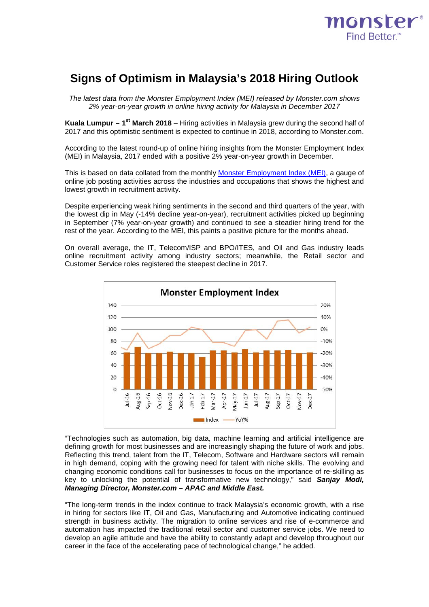

# **Signs of Optimism in Malaysia's 2018 Hiring Outlook**

*The latest data from the Monster Employment Index (MEI) released by Monster.com shows 2% year-on-year growth in online hiring activity for Malaysia in December 2017*

**Kuala Lumpur – 1st March 2018** – Hiring activities in Malaysia grew during the second half of 2017 and this optimistic sentiment is expected to continue in 2018, according to Monster.com.

According to the latest round-up of online hiring insights from the Monster Employment Index (MEI) in Malaysia, 2017 ended with a positive 2% year-on-year growth in December.

This is based on data collated from the monthly [Monster Employment Index \(MEI\),](http://www.monster.com.sg/employment-index/) a gauge of online job posting activities across the industries and occupations that shows the highest and lowest growth in recruitment activity.

Despite experiencing weak hiring sentiments in the second and third quarters of the year, with the lowest dip in May (-14% decline year-on-year), recruitment activities picked up beginning in September (7% year-on-year growth) and continued to see a steadier hiring trend for the rest of the year. According to the MEI, this paints a positive picture for the months ahead.

On overall average, the IT, Telecom/ISP and BPO/ITES, and Oil and Gas industry leads online recruitment activity among industry sectors; meanwhile, the Retail sector and Customer Service roles registered the steepest decline in 2017.



"Technologies such as automation, big data, machine learning and artificial intelligence are defining growth for most businesses and are increasingly shaping the future of work and jobs. Reflecting this trend, talent from the IT, Telecom, Software and Hardware sectors will remain in high demand, coping with the growing need for talent with niche skills. The evolving and changing economic conditions call for businesses to focus on the importance of re-skilling as key to unlocking the potential of transformative new technology," said *Sanjay Modi, Managing Director, Monster.com – APAC and Middle East.*

"The long-term trends in the index continue to track Malaysia's economic growth, with a rise in hiring for sectors like IT, Oil and Gas, Manufacturing and Automotive indicating continued strength in business activity. The migration to online services and rise of e-commerce and automation has impacted the traditional retail sector and customer service jobs. We need to develop an agile attitude and have the ability to constantly adapt and develop throughout our career in the face of the accelerating pace of technological change," he added.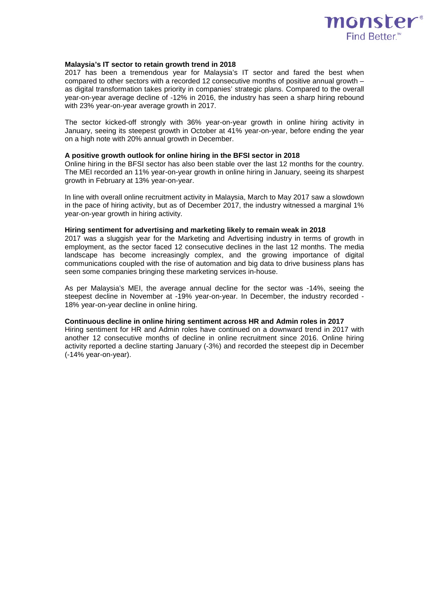

### **Malaysia's IT sector to retain growth trend in 2018**

2017 has been a tremendous year for Malaysia's IT sector and fared the best when compared to other sectors with a recorded 12 consecutive months of positive annual growth – as digital transformation takes priority in companies' strategic plans. Compared to the overall year-on-year average decline of -12% in 2016, the industry has seen a sharp hiring rebound with 23% year-on-year average growth in 2017.

The sector kicked-off strongly with 36% year-on-year growth in online hiring activity in January, seeing its steepest growth in October at 41% year-on-year, before ending the year on a high note with 20% annual growth in December.

### **A positive growth outlook for online hiring in the BFSI sector in 2018**

Online hiring in the BFSI sector has also been stable over the last 12 months for the country. The MEI recorded an 11% year-on-year growth in online hiring in January, seeing its sharpest growth in February at 13% year-on-year.

In line with overall online recruitment activity in Malaysia, March to May 2017 saw a slowdown in the pace of hiring activity, but as of December 2017, the industry witnessed a marginal 1% year-on-year growth in hiring activity.

## **Hiring sentiment for advertising and marketing likely to remain weak in 2018**

2017 was a sluggish year for the Marketing and Advertising industry in terms of growth in employment, as the sector faced 12 consecutive declines in the last 12 months. The media landscape has become increasingly complex, and the growing importance of digital communications coupled with the rise of automation and big data to drive business plans has seen some companies bringing these marketing services in-house.

As per Malaysia's MEI, the average annual decline for the sector was -14%, seeing the steepest decline in November at -19% year-on-year. In December, the industry recorded - 18% year-on-year decline in online hiring.

## **Continuous decline in online hiring sentiment across HR and Admin roles in 2017**

Hiring sentiment for HR and Admin roles have continued on a downward trend in 2017 with another 12 consecutive months of decline in online recruitment since 2016. Online hiring activity reported a decline starting January (-3%) and recorded the steepest dip in December (-14% year-on-year).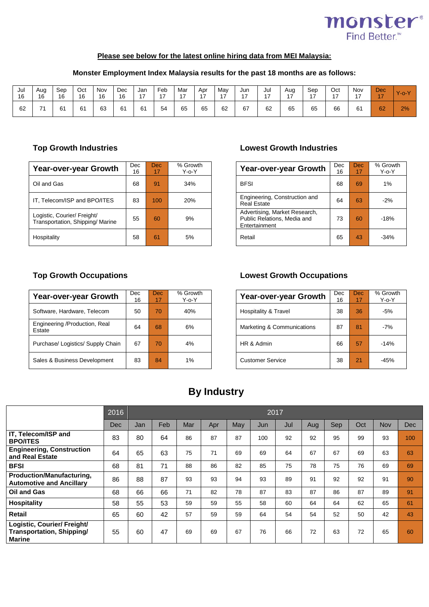

# **Please see below for the latest online hiring data from MEI Malaysia:**

## **Monster Employment Index Malaysia results for the past 18 months are as follows:**

| Jul<br>16 | Aua<br>16 | Sep<br>16 | Oct<br>16 | Nov<br>16 | Dec<br>16 | Jan<br>$\overline{1}$ | Feb<br>$\overline{a}$ | Mar<br>. – | Apr | May<br>េ | Jun<br>$\overline{ }$ | Jul<br>$\overline{ }$<br>. . | Aug<br>$\overline{A}$ | Sep<br>$\rightarrow$ | Oct | Nov<br>$\overline{ }$ | <b>Dec</b><br>$\rightarrow$ | $\mathbf{V}_{\text{-O}}$ |
|-----------|-----------|-----------|-----------|-----------|-----------|-----------------------|-----------------------|------------|-----|----------|-----------------------|------------------------------|-----------------------|----------------------|-----|-----------------------|-----------------------------|--------------------------|
| 62        |           | 61        | 61        | 63        | 61        | 61                    | 54                    | 65         | 65  | 62       | 67                    | 62                           | 65                    | 65                   | 66  | 61                    | 62                          | 2%                       |

| <b>Year-over-year Growth</b>                                   | Dec<br>16 | Dec.<br>17 | % Growth<br>$Y$ -o- $Y$ | <b>Dec</b><br><b>Year-over-year Growth</b>                                    |    | Dec<br>17 | % Grov<br>$Y - 0 - Y$ |
|----------------------------------------------------------------|-----------|------------|-------------------------|-------------------------------------------------------------------------------|----|-----------|-----------------------|
| Oil and Gas                                                    | 68        | 91         | 34%                     | <b>BFSI</b>                                                                   | 68 | 69        | 1%                    |
| IT, Telecom/ISP and BPO/ITES                                   | 83        | 100        | 20%                     | Engineering, Construction and<br><b>Real Estate</b>                           | 64 | 63        | $-2%$                 |
| Logistic, Courier/ Freight/<br>Transportation, Shipping/Marine | 55        | 60         | 9%                      | Advertising, Market Research,<br>Public Relations, Media and<br>Entertainment | 73 | 60        | $-18%$                |
| Hospitality                                                    | 58        | 61         | 5%                      | Retail                                                                        | 65 | 43        | $-34%$                |

## **Top Growth Industries Lowest Growth Industries**

| Growth<br>Y-o-Y | <b>Year-over-year Growth</b>                                                  | Dec<br>16 | Dec<br>17 | % Growth<br>$Y - 0 - Y$ |
|-----------------|-------------------------------------------------------------------------------|-----------|-----------|-------------------------|
| 34%             | <b>BFSI</b>                                                                   | 68        | 69        | 1%                      |
| 20%             | Engineering, Construction and<br><b>Real Estate</b>                           | 64        | 63        | $-2%$                   |
| 9%              | Advertising, Market Research,<br>Public Relations, Media and<br>Entertainment | 73        | 60        | -18%                    |
| 5%              | Retail                                                                        | 65        | 43        | $-34%$                  |

| <b>Year-over-year Growth</b>            | Dec<br>16 | Dec.<br>17 | % Growth<br>$Y - 0 - Y$ | Year-over-year Growth      | <b>Dec</b><br>16 | Dec.<br>17 |  |
|-----------------------------------------|-----------|------------|-------------------------|----------------------------|------------------|------------|--|
| Software, Hardware, Telecom             | 50        | 70         | 40%                     | Hospitality & Travel       | 38               | 36         |  |
| Engineering /Production, Real<br>Estate | 64        | 68         | 6%                      | Marketing & Communications | 87               | 81         |  |
| Purchase/ Logistics/ Supply Chain       | 67        | 70         | 4%                      | HR & Admin                 | 66               | 57         |  |
| Sales & Business Development            | 83        | 84         | 1%                      | <b>Customer Service</b>    | 38               | 21         |  |

## **Top Growth Occupations Lowest Growth Occupations**

| Growth<br>Y-o-Y | Year-over-year Growth      | Dec<br>16 | Dec<br>17 | % Growth<br>Y-o-Y |
|-----------------|----------------------------|-----------|-----------|-------------------|
| 40%             | Hospitality & Travel       | 38        | 36        | $-5%$             |
| 6%              | Marketing & Communications | 87        | 81        | $-7%$             |
| 4%              | HR & Admin                 | 66        | 57        | $-14%$            |
| 1%              | <b>Customer Service</b>    | 38        | 21        | -45%              |

# **By Industry**

|                                                                                  | 2016 |     |     |     |     |     |     | 2017 |     |     |     |            |            |
|----------------------------------------------------------------------------------|------|-----|-----|-----|-----|-----|-----|------|-----|-----|-----|------------|------------|
|                                                                                  | Dec  | Jan | Feb | Mar | Apr | May | Jun | Jul  | Aug | Sep | Oct | <b>Nov</b> | <b>Dec</b> |
| IT, Telecom/ISP and<br><b>BPO/ITES</b>                                           | 83   | 80  | 64  | 86  | 87  | 87  | 100 | 92   | 92  | 95  | 99  | 93         | 100        |
| <b>Engineering, Construction</b><br>and Real Estate                              | 64   | 65  | 63  | 75  | 71  | 69  | 69  | 64   | 67  | 67  | 69  | 63         | 63         |
| <b>BFSI</b>                                                                      | 68   | 81  | 71  | 88  | 86  | 82  | 85  | 75   | 78  | 75  | 76  | 69         | 69         |
| Production/Manufacturing,<br><b>Automotive and Ancillary</b>                     | 86   | 88  | 87  | 93  | 93  | 94  | 93  | 89   | 91  | 92  | 92  | 91         | 90         |
| Oil and Gas                                                                      | 68   | 66  | 66  | 71  | 82  | 78  | 87  | 83   | 87  | 86  | 87  | 89         | 91         |
| <b>Hospitality</b>                                                               | 58   | 55  | 53  | 59  | 59  | 55  | 58  | 60   | 64  | 64  | 62  | 65         | 61         |
| <b>Retail</b>                                                                    | 65   | 60  | 42  | 57  | 59  | 59  | 64  | 54   | 54  | 52  | 50  | 42         | 43         |
| Logistic, Courier/ Freight/<br><b>Transportation, Shipping/</b><br><b>Marine</b> | 55   | 60  | 47  | 69  | 69  | 67  | 76  | 66   | 72  | 63  | 72  | 65         | 60         |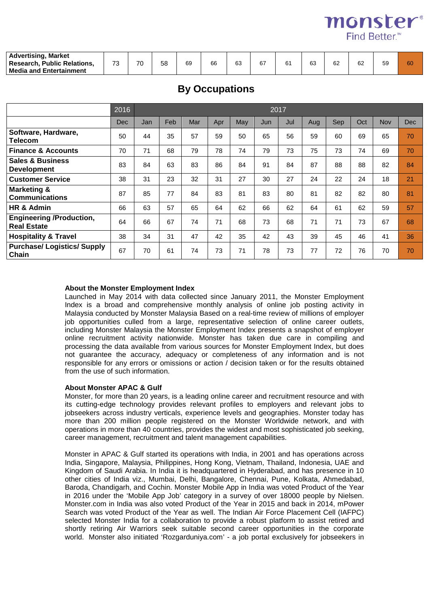**monster**<sup>®</sup> Find Better<sup>™</sup>

| <b>Advertising, Market</b>            |                                |    |    |    |    |          |    |             |              |    |              |    |    |
|---------------------------------------|--------------------------------|----|----|----|----|----------|----|-------------|--------------|----|--------------|----|----|
| <b>Public Relations,</b><br>Research. | $\overline{\phantom{a}}$<br>ن∵ | 70 | 58 | 69 | 66 | คว<br>υJ | 67 | $\sim$<br>6 | $\sim$<br>ხა | 62 | $\sim$<br>ΟZ | 59 | 60 |
| <b>Nedia and Entertainment</b>        |                                |    |    |    |    |          |    |             |              |    |              |    |    |

# **By Occupations**

|                                                       | 2016       |     | 2017 |     |     |     |     |     |     |     |     |            |            |  |
|-------------------------------------------------------|------------|-----|------|-----|-----|-----|-----|-----|-----|-----|-----|------------|------------|--|
|                                                       | <b>Dec</b> | Jan | Feb  | Mar | Apr | May | Jun | Jul | Aug | Sep | Oct | <b>Nov</b> | <b>Dec</b> |  |
| Software, Hardware,<br><b>Telecom</b>                 | 50         | 44  | 35   | 57  | 59  | 50  | 65  | 56  | 59  | 60  | 69  | 65         | 70         |  |
| <b>Finance &amp; Accounts</b>                         | 70         | 71  | 68   | 79  | 78  | 74  | 79  | 73  | 75  | 73  | 74  | 69         | 70         |  |
| <b>Sales &amp; Business</b><br><b>Development</b>     | 83         | 84  | 63   | 83  | 86  | 84  | 91  | 84  | 87  | 88  | 88  | 82         | 84         |  |
| <b>Customer Service</b>                               | 38         | 31  | 23   | 32  | 31  | 27  | 30  | 27  | 24  | 22  | 24  | 18         | 21         |  |
| <b>Marketing &amp;</b><br><b>Communications</b>       | 87         | 85  | 77   | 84  | 83  | 81  | 83  | 80  | 81  | 82  | 82  | 80         | 81         |  |
| HR & Admin                                            | 66         | 63  | 57   | 65  | 64  | 62  | 66  | 62  | 64  | 61  | 62  | 59         | 57         |  |
| <b>Engineering /Production,</b><br><b>Real Estate</b> | 64         | 66  | 67   | 74  | 71  | 68  | 73  | 68  | 71  | 71  | 73  | 67         | 68         |  |
| <b>Hospitality &amp; Travel</b>                       | 38         | 34  | 31   | 47  | 42  | 35  | 42  | 43  | 39  | 45  | 46  | 41         | 36         |  |
| <b>Purchase/ Logistics/ Supply</b><br>Chain           | 67         | 70  | 61   | 74  | 73  | 71  | 78  | 73  | 77  | 72  | 76  | 70         | 70         |  |

## **About the Monster Employment Index**

Launched in May 2014 with data collected since January 2011, the Monster Employment Index is a broad and comprehensive monthly analysis of online job posting activity in Malaysia conducted by Monster Malaysia Based on a real-time review of millions of employer job opportunities culled from a large, representative selection of online career outlets, including Monster Malaysia the Monster Employment Index presents a snapshot of employer online recruitment activity nationwide. Monster has taken due care in compiling and processing the data available from various sources for Monster Employment Index, but does not guarantee the accuracy, adequacy or completeness of any information and is not responsible for any errors or omissions or action / decision taken or for the results obtained from the use of such information.

## **About Monster APAC & Gulf**

Monster, for more than 20 years, is a leading online career and recruitment resource and with its cutting-edge technology provides relevant profiles to employers and relevant jobs to jobseekers across industry verticals, experience levels and geographies. Monster today has more than 200 million people registered on the Monster Worldwide network, and with operations in more than 40 countries, provides the widest and most sophisticated job seeking, career management, recruitment and talent management capabilities.

Monster in APAC & Gulf started its operations with India, in 2001 and has operations across India, Singapore, Malaysia, Philippines, Hong Kong, Vietnam, Thailand, Indonesia, UAE and Kingdom of Saudi Arabia. In India it is headquartered in Hyderabad, and has presence in 10 other cities of India viz., Mumbai, Delhi, Bangalore, Chennai, Pune, Kolkata, Ahmedabad, Baroda, Chandigarh, and Cochin. Monster Mobile App in India was voted Product of the Year in 2016 under the 'Mobile App Job' category in a survey of over 18000 people by Nielsen. Monster.com in India was also voted Product of the Year in 2015 and back in 2014, mPower Search was voted Product of the Year as well. The Indian Air Force Placement Cell (IAFPC) selected Monster India for a collaboration to provide a robust platform to assist retired and shortly retiring Air Warriors seek suitable second career opportunities in the corporate world. Monster also initiated 'Rozgarduniya.com' - a job portal exclusively for jobseekers in